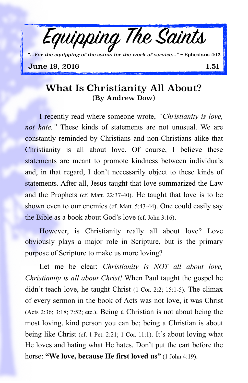

*"…For the equipping of the saints for the work of service…"* ~ Ephesians 4:12

**June 19, 2016** 1.51

## What Is Christianity All About? (By Andrew Dow)

I recently read where someone wrote, *"Christianity is love, not hate."* These kinds of statements are not unusual. We are constantly reminded by Christians and non-Christians alike that Christianity is all about love. Of course, I believe these statements are meant to promote kindness between individuals and, in that regard, I don't necessarily object to these kinds of statements. After all, Jesus taught that love summarized the Law and the Prophets (cf. Matt. 22:37-40). He taught that love is to be shown even to our enemies (cf. Matt. 5:43-44). One could easily say the Bible as a book about God's love (cf. John 3:16).

However, is Christianity really all about love? Love obviously plays a major role in Scripture, but is the primary purpose of Scripture to make us more loving?

Let me be clear: *Christianity is NOT all about love, Christianity is all about Christ!* When Paul taught the gospel he didn't teach love, he taught Christ (1 Cor. 2:2; 15:1-5). The climax of every sermon in the book of Acts was not love, it was Christ (Acts 2:36; 3:18; 7:52; etc.). Being a Christian is not about being the most loving, kind person you can be; being a Christian is about being like Christ (cf. 1 Pet. 2:21; 1 Cor. 11:1). It's about loving what He loves and hating what He hates. Don't put the cart before the horse: **"We love, because He first loved us"** (1 John 4:19).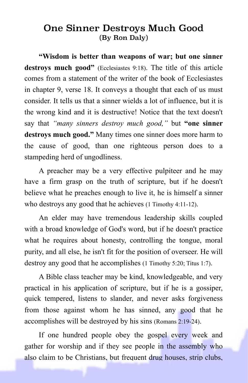## One Sinner Destroys Much Good (By Ron Daly)

**"Wisdom is better than weapons of war; but one sinner destroys much good"** (Ecclesiastes 9:18). The title of this article comes from a statement of the writer of the book of Ecclesiastes in chapter 9, verse 18. It conveys a thought that each of us must consider. It tells us that a sinner wields a lot of influence, but it is the wrong kind and it is destructive! Notice that the text doesn't say that *"many sinners destroy much good,"* but **"one sinner destroys much good."** Many times one sinner does more harm to the cause of good, than one righteous person does to a stampeding herd of ungodliness.

A preacher may be a very effective pulpiteer and he may have a firm grasp on the truth of scripture, but if he doesn't believe what he preaches enough to live it, he is himself a sinner who destroys any good that he achieves (1 Timothy 4:11-12).

An elder may have tremendous leadership skills coupled with a broad knowledge of God's word, but if he doesn't practice what he requires about honesty, controlling the tongue, moral purity, and all else, he isn't fit for the position of overseer. He will destroy any good that he accomplishes (1 Timothy 5:20; Titus 1:7).

A Bible class teacher may be kind, knowledgeable, and very practical in his application of scripture, but if he is a gossiper, quick tempered, listens to slander, and never asks forgiveness from those against whom he has sinned, any good that he accomplishes will be destroyed by his sins (Romans 2:19-24).

If one hundred people obey the gospel every week and gather for worship and if they see people in the assembly who also claim to be Christians, but frequent drug houses, strip clubs,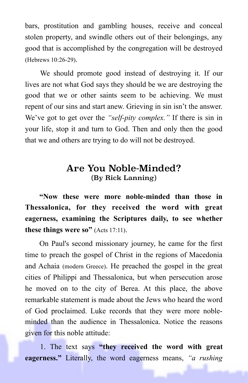bars, prostitution and gambling houses, receive and conceal stolen property, and swindle others out of their belongings, any good that is accomplished by the congregation will be destroyed (Hebrews 10:26-29).

We should promote good instead of destroying it. If our lives are not what God says they should be we are destroying the good that we or other saints seem to be achieving. We must repent of our sins and start anew. Grieving in sin isn't the answer. We've got to get over the *"self-pity complex."* If there is sin in your life, stop it and turn to God. Then and only then the good that we and others are trying to do will not be destroyed.

## Are You Noble-Minded? (By Rick Lanning)

**"Now these were more noble-minded than those in Thessalonica, for they received the word with great eagerness, examining the Scriptures daily, to see whether these things were so"** (Acts 17:11).

On Paul's second missionary journey, he came for the first time to preach the gospel of Christ in the regions of Macedonia and Achaia (modern Greece). He preached the gospel in the great cities of Philippi and Thessalonica, but when persecution arose he moved on to the city of Berea. At this place, the above remarkable statement is made about the Jews who heard the word of God proclaimed. Luke records that they were more nobleminded than the audience in Thessalonica. Notice the reasons given for this noble attitude:

1. The text says **"they received the word with great eagerness."** Literally, the word eagerness means, *"a rushing*